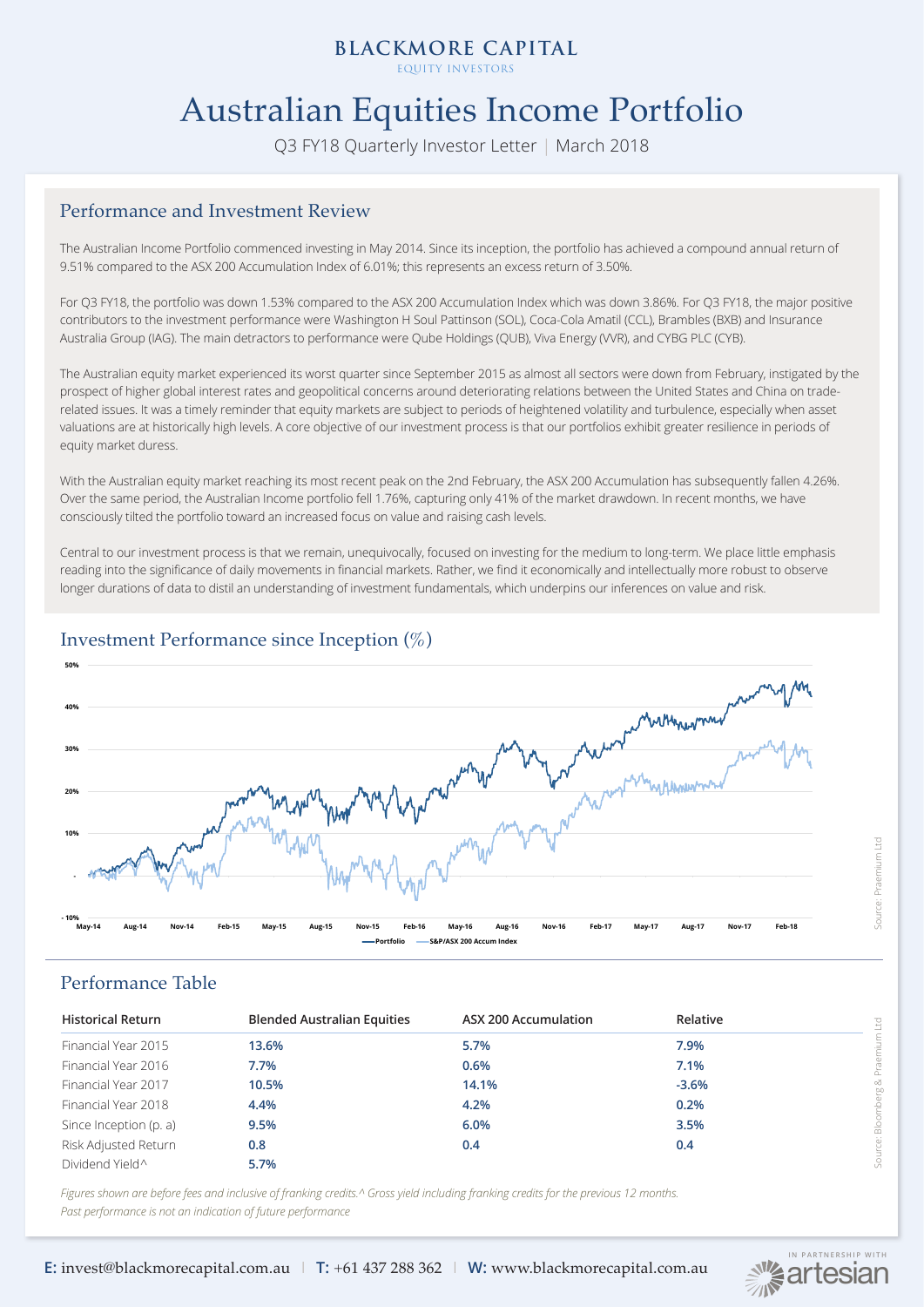EQUITY INVESTORS

# Australian Equities Income Portfolio

Q3 FY18 Quarterly Investor Letter | March 2018

### Performance and Investment Review

The Australian Income Portfolio commenced investing in May 2014. Since its inception, the portfolio has achieved a compound annual return of 9.51% compared to the ASX 200 Accumulation Index of 6.01%; this represents an excess return of 3.50%.

For Q3 FY18, the portfolio was down 1.53% compared to the ASX 200 Accumulation Index which was down 3.86%. For Q3 FY18, the major positive contributors to the investment performance were Washington H Soul Pattinson (SOL), Coca-Cola Amatil (CCL), Brambles (BXB) and Insurance Australia Group (IAG). The main detractors to performance were Qube Holdings (QUB), Viva Energy (VVR), and CYBG PLC (CYB).

The Australian equity market experienced its worst quarter since September 2015 as almost all sectors were down from February, instigated by the prospect of higher global interest rates and geopolitical concerns around deteriorating relations between the United States and China on traderelated issues. It was a timely reminder that equity markets are subject to periods of heightened volatility and turbulence, especially when asset valuations are at historically high levels. A core objective of our investment process is that our portfolios exhibit greater resilience in periods of equity market duress.

With the Australian equity market reaching its most recent peak on the 2nd February, the ASX 200 Accumulation has subsequently fallen 4.26%. Over the same period, the Australian Income portfolio fell 1.76%, capturing only 41% of the market drawdown. In recent months, we have consciously tilted the portfolio toward an increased focus on value and raising cash levels.

Central to our investment process is that we remain, unequivocally, focused on investing for the medium to long-term. We place little emphasis reading into the significance of daily movements in financial markets. Rather, we find it economically and intellectually more robust to observe longer durations of data to distil an understanding of investment fundamentals, which underpins our inferences on value and risk.



# Investment Performance since Inception (%)

## Performance Table

| <b>Historical Return</b> | <b>Blended Australian Equities</b> | <b>ASX 200 Accumulation</b> | Relative | g            |
|--------------------------|------------------------------------|-----------------------------|----------|--------------|
| Financial Year 2015      | 13.6%                              | 5.7%                        | 7.9%     | mium         |
| Financial Year 2016      | 7.7%                               | 0.6%                        | 7.1%     | & Pra        |
| Financial Year 2017      | 10.5%                              | 14.1%                       | $-3.6%$  |              |
| Financial Year 2018      | 4.4%                               | 4.2%                        | 0.2%     |              |
| Since Inception (p. a)   | 9.5%                               | 6.0%                        | 3.5%     | $rac{8}{20}$ |
| Risk Adjusted Return     | 0.8                                | 0.4                         | 0.4      | Source:      |
| Dividend Yield^          | 5.7%                               |                             |          |              |

*Figures shown are before fees and inclusive of franking credits.^ Gross yield including franking credits for the previous 12 months. Past performance is not an indication of future performance*



**E:** invest@blackmorecapital.com.au | **T:** +61 437 288 362 | **W:** www.blackmorecapital.com.au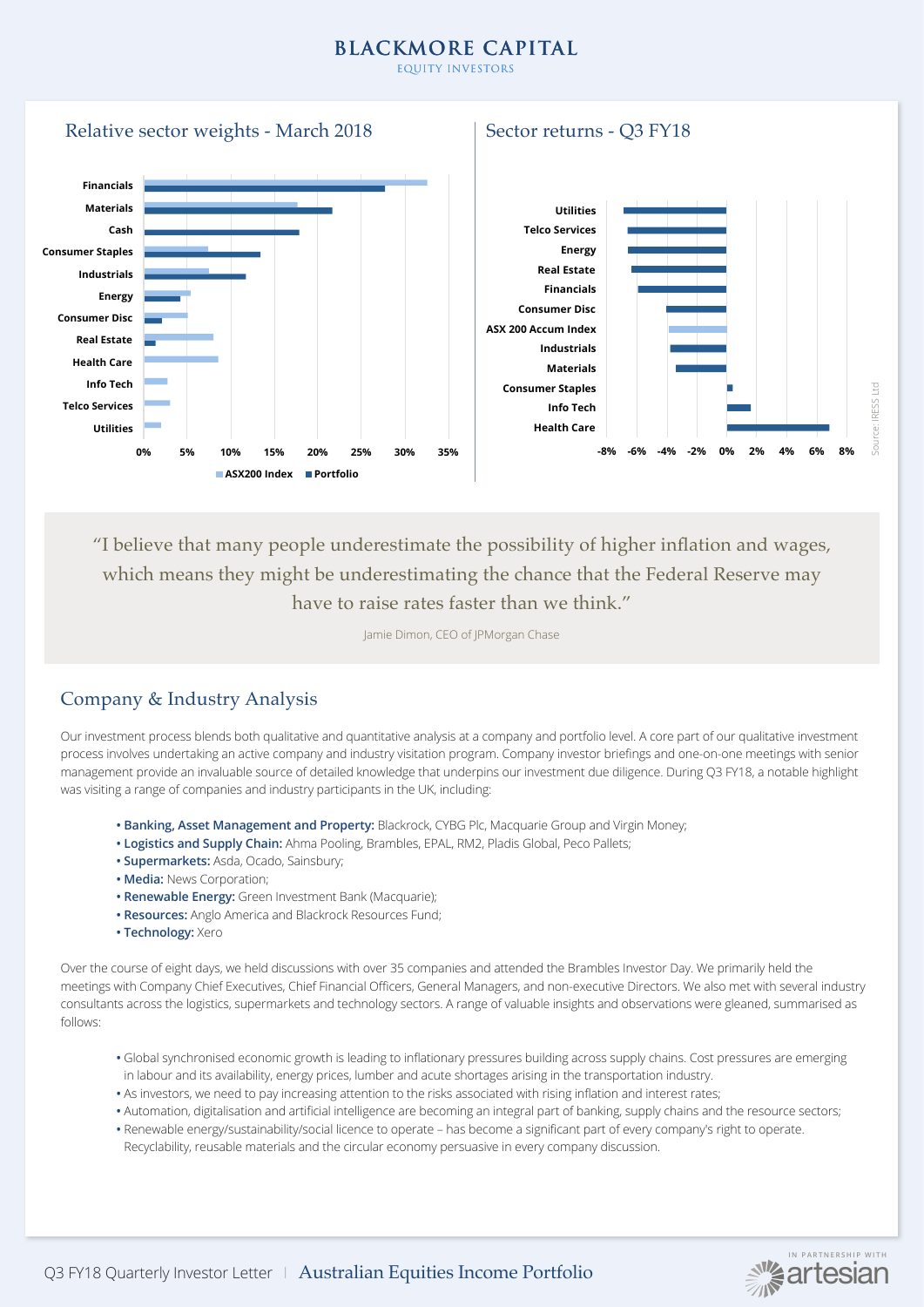EQUITY INVESTORS



"I believe that many people underestimate the possibility of higher inflation and wages, which means they might be underestimating the chance that the Federal Reserve may have to raise rates faster than we think."

Jamie Dimon, CEO of JPMorgan Chase

# Company & Industry Analysis

Our investment process blends both qualitative and quantitative analysis at a company and portfolio level. A core part of our qualitative investment process involves undertaking an active company and industry visitation program. Company investor briefings and one-on-one meetings with senior management provide an invaluable source of detailed knowledge that underpins our investment due diligence. During Q3 FY18, a notable highlight was visiting a range of companies and industry participants in the UK, including:

- **Banking, Asset Management and Property:** Blackrock, CYBG Plc, Macquarie Group and Virgin Money;
- **Logistics and Supply Chain:** Ahma Pooling, Brambles, EPAL, RM2, Pladis Global, Peco Pallets;
- **Supermarkets:** Asda, Ocado, Sainsbury;
- **Media:** News Corporation;
- **Renewable Energy:** Green Investment Bank (Macquarie);
- **Resources:** Anglo America and Blackrock Resources Fund;
- **Technology:** Xero

Over the course of eight days, we held discussions with over 35 companies and attended the Brambles Investor Day. We primarily held the meetings with Company Chief Executives, Chief Financial Officers, General Managers, and non-executive Directors. We also met with several industry consultants across the logistics, supermarkets and technology sectors. A range of valuable insights and observations were gleaned, summarised as follows:

- Global synchronised economic growth is leading to inflationary pressures building across supply chains. Cost pressures are emerging in labour and its availability, energy prices, lumber and acute shortages arising in the transportation industry.
- As investors, we need to pay increasing attention to the risks associated with rising inflation and interest rates;
- Automation, digitalisation and artificial intelligence are becoming an integral part of banking, supply chains and the resource sectors;
- Renewable energy/sustainability/social licence to operate has become a significant part of every company's right to operate.
- Recyclability, reusable materials and the circular economy persuasive in every company discussion.

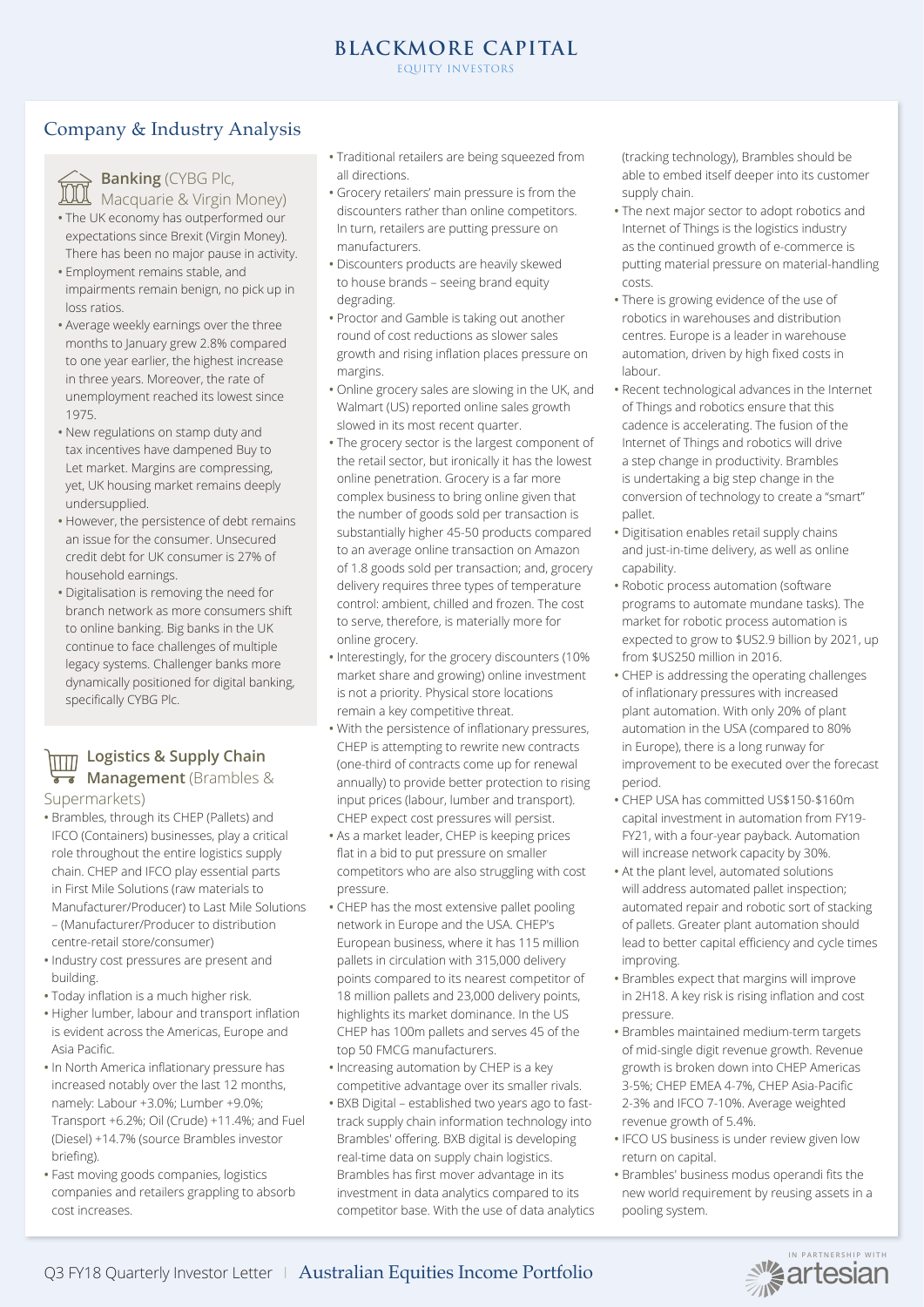Company & Industry Analysis



# **Banking** (CYBG Plc,

Macquarie & Virgin Money) **•** The UK economy has outperformed our expectations since Brexit (Virgin Money).

- There has been no major pause in activity. **•** Employment remains stable, and
- impairments remain benign, no pick up in loss ratios.
- Average weekly earnings over the three months to January grew 2.8% compared to one year earlier, the highest increase in three years. Moreover, the rate of unemployment reached its lowest since 1975.
- New regulations on stamp duty and tax incentives have dampened Buy to Let market. Margins are compressing, yet, UK housing market remains deeply undersupplied.
- However, the persistence of debt remains an issue for the consumer. Unsecured credit debt for UK consumer is 27% of household earnings.
- Digitalisation is removing the need for branch network as more consumers shift to online banking. Big banks in the UK continue to face challenges of multiple legacy systems. Challenger banks more dynamically positioned for digital banking, specifically CYBG Plc.

# **Logistics & Supply Chain**   $\overline{\mathbf{r}}$  **Management** (Brambles &

Supermarkets)

- Brambles, through its CHEP (Pallets) and IFCO (Containers) businesses, play a critical role throughout the entire logistics supply chain. CHEP and IFCO play essential parts in First Mile Solutions (raw materials to Manufacturer/Producer) to Last Mile Solutions – (Manufacturer/Producer to distribution centre-retail store/consumer)
- Industry cost pressures are present and building.
- Today inflation is a much higher risk.
- Higher lumber, labour and transport inflation is evident across the Americas, Europe and Asia Pacific.
- In North America inflationary pressure has increased notably over the last 12 months, namely: Labour +3.0%; Lumber +9.0%; Transport +6.2%; Oil (Crude) +11.4%; and Fuel (Diesel) +14.7% (source Brambles investor briefing).
- Fast moving goods companies, logistics companies and retailers grappling to absorb cost increases.
- Traditional retailers are being squeezed from all directions.
- Grocery retailers' main pressure is from the discounters rather than online competitors. In turn, retailers are putting pressure on manufacturers.
- Discounters products are heavily skewed to house brands – seeing brand equity degrading.
- Proctor and Gamble is taking out another round of cost reductions as slower sales growth and rising inflation places pressure on margins.
- Online grocery sales are slowing in the UK, and Walmart (US) reported online sales growth slowed in its most recent quarter.
- The grocery sector is the largest component of the retail sector, but ironically it has the lowest online penetration. Grocery is a far more complex business to bring online given that the number of goods sold per transaction is substantially higher 45-50 products compared to an average online transaction on Amazon of 1.8 goods sold per transaction; and, grocery delivery requires three types of temperature control: ambient, chilled and frozen. The cost to serve, therefore, is materially more for online grocery.
- Interestingly, for the grocery discounters (10% market share and growing) online investment is not a priority. Physical store locations remain a key competitive threat.
- With the persistence of inflationary pressures, CHEP is attempting to rewrite new contracts (one-third of contracts come up for renewal annually) to provide better protection to rising input prices (labour, lumber and transport). CHEP expect cost pressures will persist.
- As a market leader, CHEP is keeping prices flat in a bid to put pressure on smaller competitors who are also struggling with cost pressure.
- CHEP has the most extensive pallet pooling network in Europe and the USA. CHEP's European business, where it has 115 million pallets in circulation with 315,000 delivery points compared to its nearest competitor of 18 million pallets and 23,000 delivery points, highlights its market dominance. In the US CHEP has 100m pallets and serves 45 of the top 50 FMCG manufacturers.
- Increasing automation by CHEP is a key competitive advantage over its smaller rivals.
- BXB Digital established two years ago to fasttrack supply chain information technology into Brambles' offering. BXB digital is developing real-time data on supply chain logistics. Brambles has first mover advantage in its investment in data analytics compared to its competitor base. With the use of data analytics

(tracking technology), Brambles should be able to embed itself deeper into its customer supply chain.

- The next major sector to adopt robotics and Internet of Things is the logistics industry as the continued growth of e-commerce is putting material pressure on material-handling costs.
- There is growing evidence of the use of robotics in warehouses and distribution centres. Europe is a leader in warehouse automation, driven by high fixed costs in labour.
- Recent technological advances in the Internet of Things and robotics ensure that this cadence is accelerating. The fusion of the Internet of Things and robotics will drive a step change in productivity. Brambles is undertaking a big step change in the conversion of technology to create a "smart" pallet.
- Digitisation enables retail supply chains and just-in-time delivery, as well as online capability.
- Robotic process automation (software programs to automate mundane tasks). The market for robotic process automation is expected to grow to \$US2.9 billion by 2021, up from \$US250 million in 2016.
- CHEP is addressing the operating challenges of inflationary pressures with increased plant automation. With only 20% of plant automation in the USA (compared to 80% in Europe), there is a long runway for improvement to be executed over the forecast period.
- CHEP USA has committed US\$150-\$160m capital investment in automation from FY19- FY21, with a four-year payback. Automation will increase network capacity by 30%.
- At the plant level, automated solutions will address automated pallet inspection; automated repair and robotic sort of stacking of pallets. Greater plant automation should lead to better capital efficiency and cycle times improving.
- Brambles expect that margins will improve in 2H18. A key risk is rising inflation and cost pressure.
- Brambles maintained medium-term targets of mid-single digit revenue growth. Revenue growth is broken down into CHEP Americas 3-5%; CHEP EMEA 4-7%, CHEP Asia-Pacific 2-3% and IFCO 7-10%. Average weighted revenue growth of 5.4%.
- IFCO US business is under review given low return on capital.
- Brambles' business modus operandi fits the new world requirement by reusing assets in a pooling system.

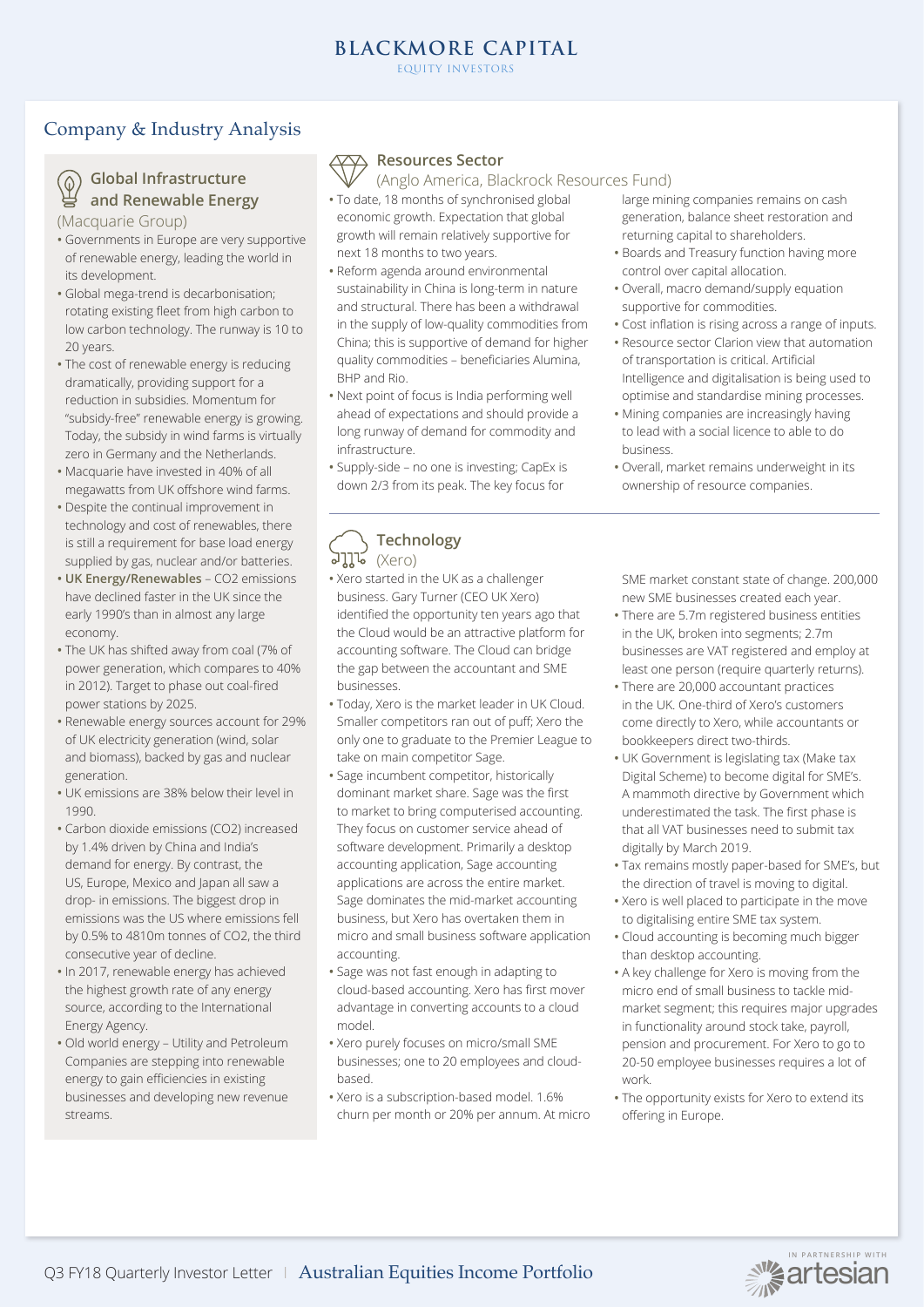## Company & Industry Analysis



### **Global Infrastructure and Renewable Energy**

(Macquarie Group)

- Governments in Europe are very supportive of renewable energy, leading the world in its development.
- Global mega-trend is decarbonisation; rotating existing fleet from high carbon to low carbon technology. The runway is 10 to 20 years.
- The cost of renewable energy is reducing dramatically, providing support for a reduction in subsidies. Momentum for "subsidy-free" renewable energy is growing. Today, the subsidy in wind farms is virtually zero in Germany and the Netherlands.
- Macquarie have invested in 40% of all megawatts from UK offshore wind farms.
- Despite the continual improvement in technology and cost of renewables, there is still a requirement for base load energy supplied by gas, nuclear and/or batteries.
- **UK Energy/Renewables** CO2 emissions have declined faster in the UK since the early 1990's than in almost any large economy.
- The UK has shifted away from coal (7% of power generation, which compares to 40% in 2012). Target to phase out coal-fired power stations by 2025.
- Renewable energy sources account for 29% of UK electricity generation (wind, solar and biomass), backed by gas and nuclear generation.
- UK emissions are 38% below their level in 1990.
- Carbon dioxide emissions (CO2) increased by 1.4% driven by China and India's demand for energy. By contrast, the US, Europe, Mexico and Japan all saw a drop- in emissions. The biggest drop in emissions was the US where emissions fell by 0.5% to 4810m tonnes of CO2, the third consecutive year of decline.
- In 2017, renewable energy has achieved the highest growth rate of any energy source, according to the International Energy Agency.
- Old world energy Utility and Petroleum Companies are stepping into renewable energy to gain efficiencies in existing businesses and developing new revenue streams.



### **Resources Sector**

(Anglo America, Blackrock Resources Fund)

- To date, 18 months of synchronised global economic growth. Expectation that global growth will remain relatively supportive for next 18 months to two years.
- Reform agenda around environmental sustainability in China is long-term in nature and structural. There has been a withdrawal in the supply of low-quality commodities from China; this is supportive of demand for higher quality commodities – beneficiaries Alumina, BHP and Rio.
- Next point of focus is India performing well ahead of expectations and should provide a long runway of demand for commodity and infrastructure.
- Supply-side no one is investing; CapEx is down 2/3 from its peak. The key focus for

### **Technology**  (Xero)

- Xero started in the UK as a challenger business. Gary Turner (CEO UK Xero) identified the opportunity ten years ago that the Cloud would be an attractive platform for accounting software. The Cloud can bridge the gap between the accountant and SME businesses.
- Today, Xero is the market leader in UK Cloud. Smaller competitors ran out of puff; Xero the only one to graduate to the Premier League to take on main competitor Sage.
- Sage incumbent competitor, historically dominant market share. Sage was the first to market to bring computerised accounting. They focus on customer service ahead of software development. Primarily a desktop accounting application, Sage accounting applications are across the entire market. Sage dominates the mid-market accounting business, but Xero has overtaken them in micro and small business software application accounting.
- Sage was not fast enough in adapting to cloud-based accounting. Xero has first mover advantage in converting accounts to a cloud model.
- Xero purely focuses on micro/small SME businesses; one to 20 employees and cloudbased.
- Xero is a subscription-based model. 1.6% churn per month or 20% per annum. At micro
- large mining companies remains on cash generation, balance sheet restoration and returning capital to shareholders.
- Boards and Treasury function having more control over capital allocation.
- Overall, macro demand/supply equation supportive for commodities.
- Cost inflation is rising across a range of inputs.
- Resource sector Clarion view that automation of transportation is critical. Artificial Intelligence and digitalisation is being used to
- optimise and standardise mining processes. **•** Mining companies are increasingly having to lead with a social licence to able to do business.
- Overall, market remains underweight in its ownership of resource companies.

SME market constant state of change. 200,000 new SME businesses created each year.

- There are 5.7m registered business entities in the UK, broken into segments; 2.7m businesses are VAT registered and employ at least one person (require quarterly returns).
- There are 20,000 accountant practices in the UK. One-third of Xero's customers come directly to Xero, while accountants or bookkeepers direct two-thirds.
- UK Government is legislating tax (Make tax Digital Scheme) to become digital for SME's. A mammoth directive by Government which underestimated the task. The first phase is that all VAT businesses need to submit tax digitally by March 2019.
- Tax remains mostly paper-based for SME's, but the direction of travel is moving to digital.
- Xero is well placed to participate in the move to digitalising entire SME tax system.
- Cloud accounting is becoming much bigger than desktop accounting.
- A key challenge for Xero is moving from the micro end of small business to tackle midmarket segment; this requires major upgrades in functionality around stock take, payroll, pension and procurement. For Xero to go to 20-50 employee businesses requires a lot of work.
- The opportunity exists for Xero to extend its offering in Europe.

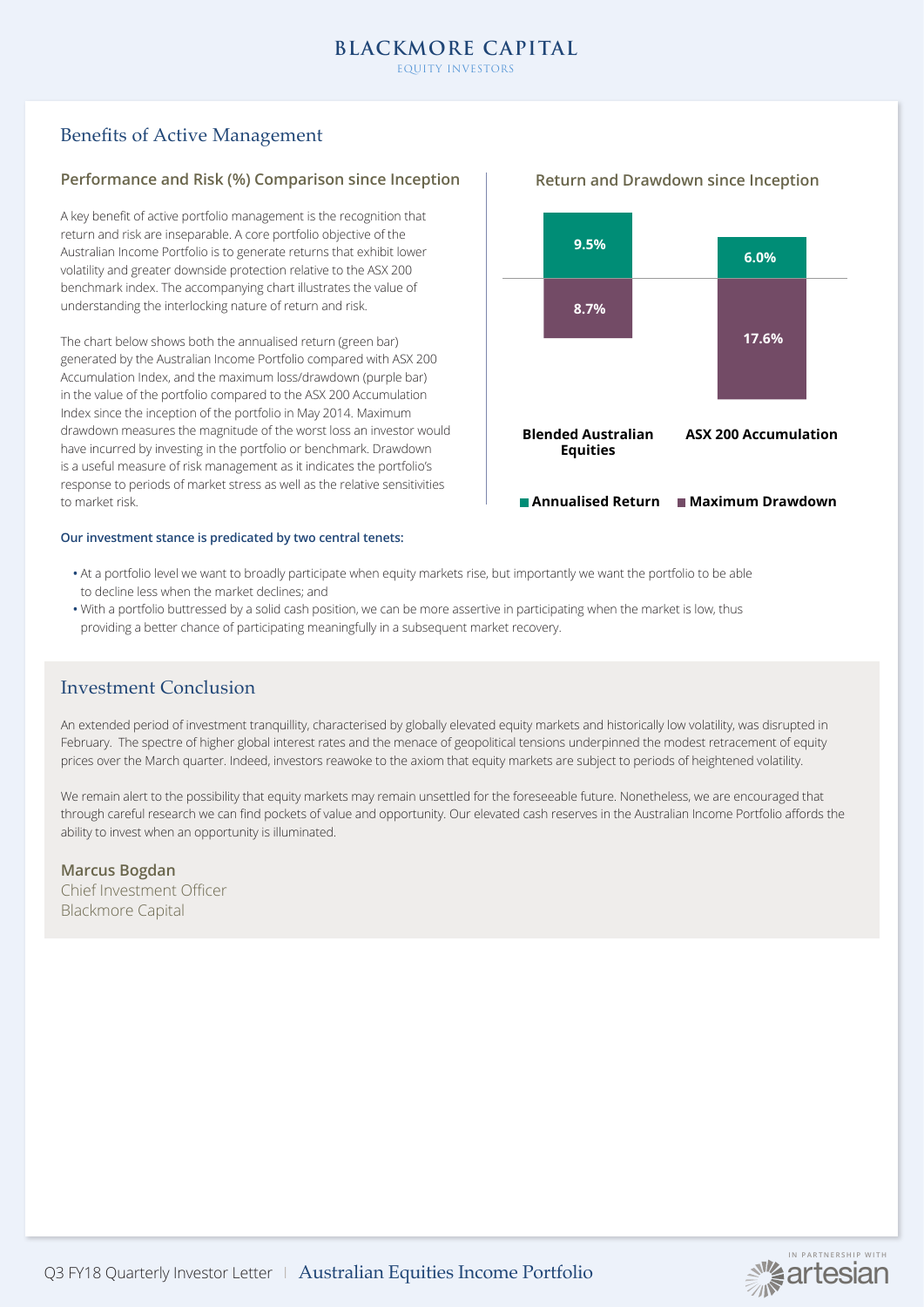# Benefits of Active Management

### **Performance and Risk (%) Comparison since Inception**

A key benefit of active portfolio management is the recognition that return and risk are inseparable. A core portfolio objective of the Australian Income Portfolio is to generate returns that exhibit lower volatility and greater downside protection relative to the ASX 200 benchmark index. The accompanying chart illustrates the value of understanding the interlocking nature of return and risk.

The chart below shows both the annualised return (green bar) generated by the Australian Income Portfolio compared with ASX 200 Accumulation Index, and the maximum loss/drawdown (purple bar) in the value of the portfolio compared to the ASX 200 Accumulation Index since the inception of the portfolio in May 2014. Maximum drawdown measures the magnitude of the worst loss an investor would have incurred by investing in the portfolio or benchmark. Drawdown is a useful measure of risk management as it indicates the portfolio's response to periods of market stress as well as the relative sensitivities to market risk.

### **Our investment stance is predicated by two central tenets:**



- **•** At a portfolio level we want to broadly participate when equity markets rise, but importantly we want the portfolio to be able to decline less when the market declines; and
- **•** With a portfolio buttressed by a solid cash position, we can be more assertive in participating when the market is low, thus providing a better chance of participating meaningfully in a subsequent market recovery.

## Investment Conclusion

An extended period of investment tranquillity, characterised by globally elevated equity markets and historically low volatility, was disrupted in February. The spectre of higher global interest rates and the menace of geopolitical tensions underpinned the modest retracement of equity prices over the March quarter. Indeed, investors reawoke to the axiom that equity markets are subject to periods of heightened volatility.

We remain alert to the possibility that equity markets may remain unsettled for the foreseeable future. Nonetheless, we are encouraged that through careful research we can find pockets of value and opportunity. Our elevated cash reserves in the Australian Income Portfolio affords the ability to invest when an opportunity is illuminated.

### **Marcus Bogdan**

Chief Investment Officer Blackmore Capital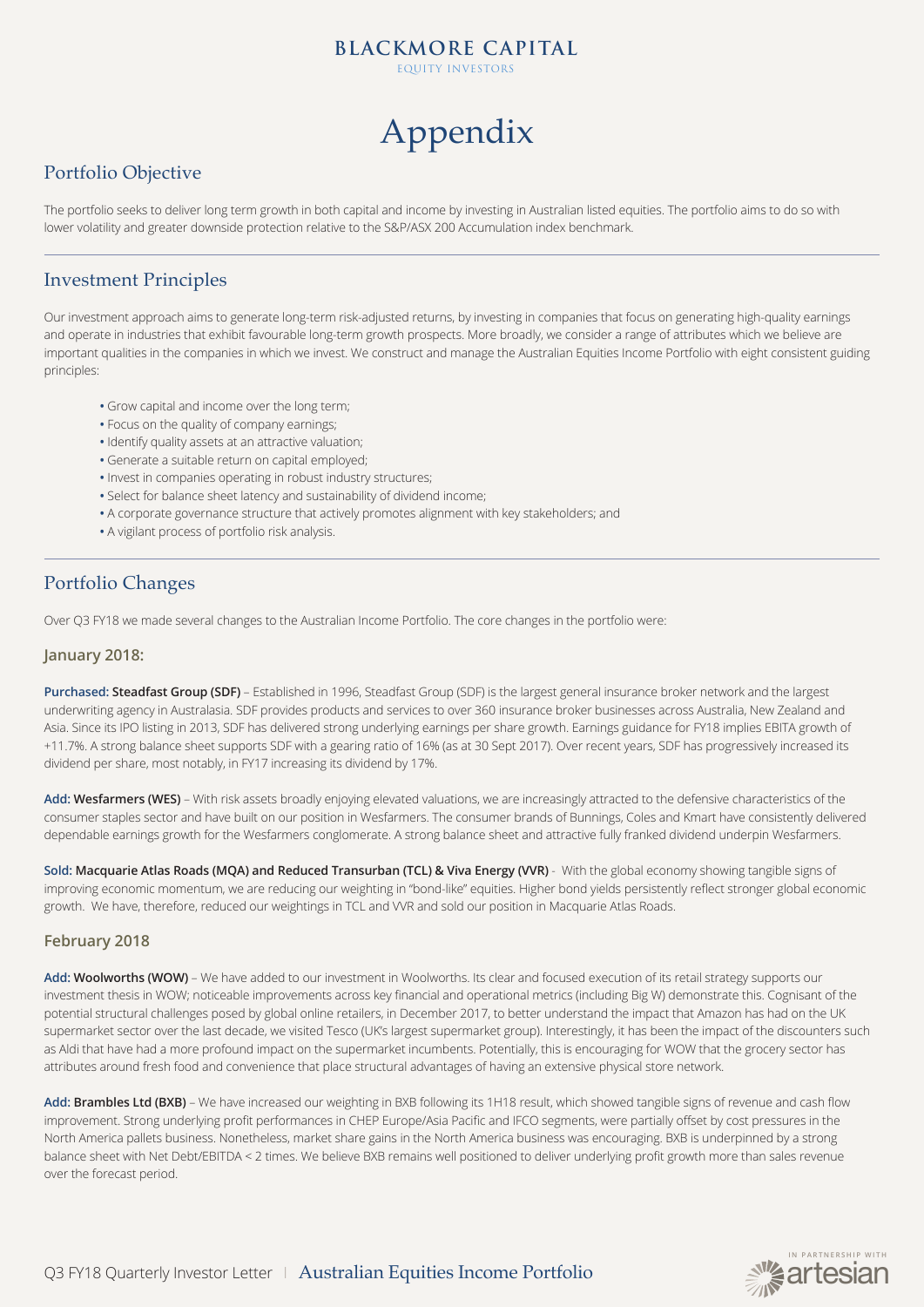EQUITY INVESTORS

# Appendix

# Portfolio Objective

The portfolio seeks to deliver long term growth in both capital and income by investing in Australian listed equities. The portfolio aims to do so with lower volatility and greater downside protection relative to the S&P/ASX 200 Accumulation index benchmark.

### Investment Principles

Our investment approach aims to generate long-term risk-adjusted returns, by investing in companies that focus on generating high-quality earnings and operate in industries that exhibit favourable long-term growth prospects. More broadly, we consider a range of attributes which we believe are important qualities in the companies in which we invest. We construct and manage the Australian Equities Income Portfolio with eight consistent guiding principles:

- **•** Grow capital and income over the long term;
- **•** Focus on the quality of company earnings;
- **•** Identify quality assets at an attractive valuation;
- **•** Generate a suitable return on capital employed;
- **•** Invest in companies operating in robust industry structures;
- **•** Select for balance sheet latency and sustainability of dividend income;
- **•** A corporate governance structure that actively promotes alignment with key stakeholders; and
- **•** A vigilant process of portfolio risk analysis.

# Portfolio Changes

Over Q3 FY18 we made several changes to the Australian Income Portfolio. The core changes in the portfolio were:

### **January 2018:**

**Purchased: Steadfast Group (SDF)** – Established in 1996, Steadfast Group (SDF) is the largest general insurance broker network and the largest underwriting agency in Australasia. SDF provides products and services to over 360 insurance broker businesses across Australia, New Zealand and Asia. Since its IPO listing in 2013, SDF has delivered strong underlying earnings per share growth. Earnings guidance for FY18 implies EBITA growth of +11.7%. A strong balance sheet supports SDF with a gearing ratio of 16% (as at 30 Sept 2017). Over recent years, SDF has progressively increased its dividend per share, most notably, in FY17 increasing its dividend by 17%.

Add: Wesfarmers (WES) – With risk assets broadly enjoying elevated valuations, we are increasingly attracted to the defensive characteristics of the consumer staples sector and have built on our position in Wesfarmers. The consumer brands of Bunnings, Coles and Kmart have consistently delivered dependable earnings growth for the Wesfarmers conglomerate. A strong balance sheet and attractive fully franked dividend underpin Wesfarmers.

**Sold: Macquarie Atlas Roads (MQA) and Reduced Transurban (TCL) & Viva Energy (VVR)** - With the global economy showing tangible signs of improving economic momentum, we are reducing our weighting in "bond-like" equities. Higher bond yields persistently reflect stronger global economic growth. We have, therefore, reduced our weightings in TCL and VVR and sold our position in Macquarie Atlas Roads.

### **February 2018**

Add: Woolworths (WOW) - We have added to our investment in Woolworths. Its clear and focused execution of its retail strategy supports our investment thesis in WOW; noticeable improvements across key financial and operational metrics (including Big W) demonstrate this. Cognisant of the potential structural challenges posed by global online retailers, in December 2017, to better understand the impact that Amazon has had on the UK supermarket sector over the last decade, we visited Tesco (UK's largest supermarket group). Interestingly, it has been the impact of the discounters such as Aldi that have had a more profound impact on the supermarket incumbents. Potentially, this is encouraging for WOW that the grocery sector has attributes around fresh food and convenience that place structural advantages of having an extensive physical store network.

Add: Brambles Ltd (BXB) – We have increased our weighting in BXB following its 1H18 result, which showed tangible signs of revenue and cash flow improvement. Strong underlying profit performances in CHEP Europe/Asia Pacific and IFCO segments, were partially offset by cost pressures in the North America pallets business. Nonetheless, market share gains in the North America business was encouraging. BXB is underpinned by a strong balance sheet with Net Debt/EBITDA < 2 times. We believe BXB remains well positioned to deliver underlying profit growth more than sales revenue over the forecast period.

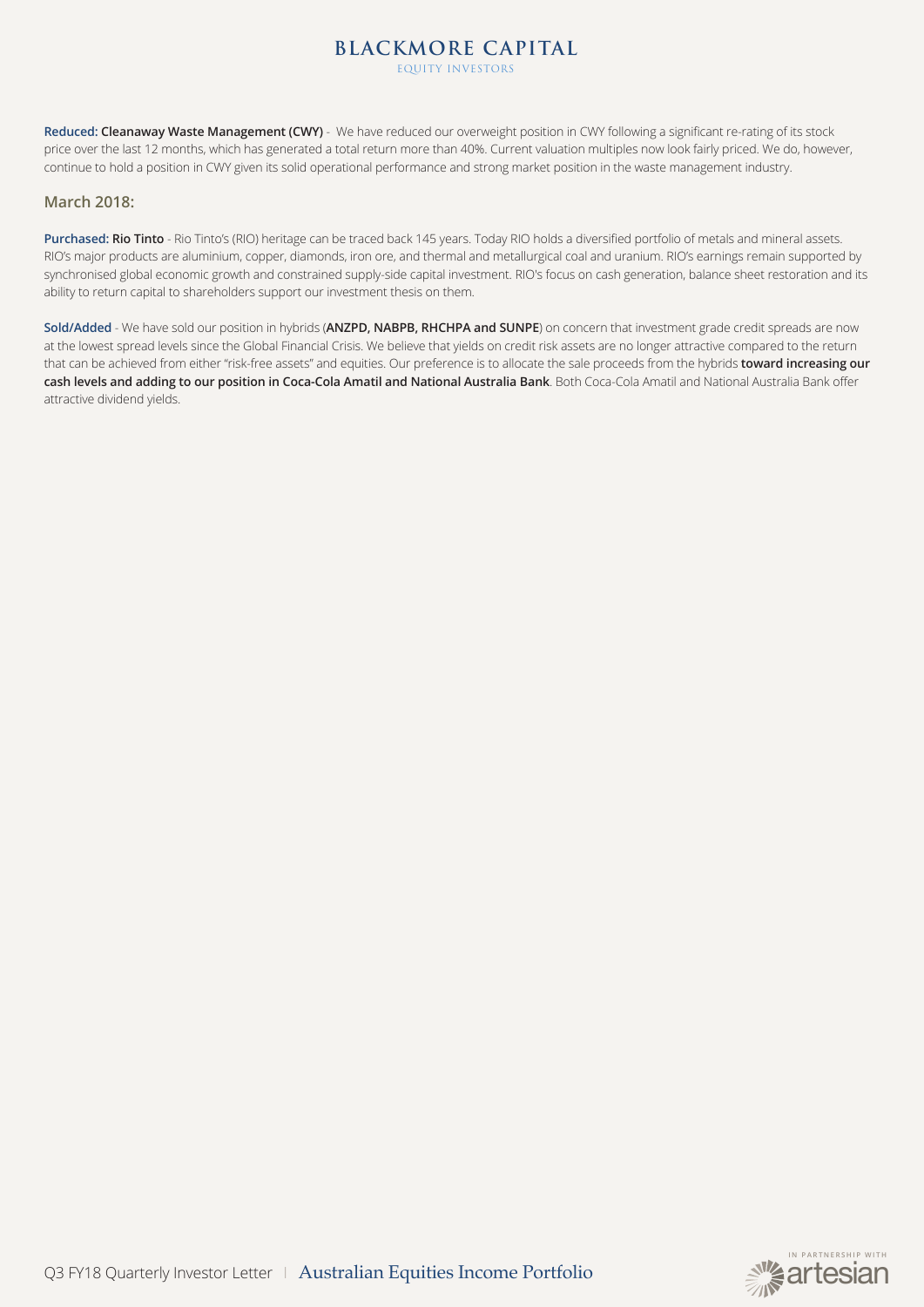EQUITY INVESTORS

**Reduced: Cleanaway Waste Management (CWY)** - We have reduced our overweight position in CWY following a significant re-rating of its stock price over the last 12 months, which has generated a total return more than 40%. Current valuation multiples now look fairly priced. We do, however, continue to hold a position in CWY given its solid operational performance and strong market position in the waste management industry.

### **March 2018:**

**Purchased: Rio Tinto** - Rio Tinto's (RIO) heritage can be traced back 145 years. Today RIO holds a diversified portfolio of metals and mineral assets. RIO's major products are aluminium, copper, diamonds, iron ore, and thermal and metallurgical coal and uranium. RIO's earnings remain supported by synchronised global economic growth and constrained supply-side capital investment. RIO's focus on cash generation, balance sheet restoration and its ability to return capital to shareholders support our investment thesis on them.

**Sold/Added** - We have sold our position in hybrids (**ANZPD, NABPB, RHCHPA and SUNPE**) on concern that investment grade credit spreads are now at the lowest spread levels since the Global Financial Crisis. We believe that yields on credit risk assets are no longer attractive compared to the return that can be achieved from either "risk-free assets" and equities. Our preference is to allocate the sale proceeds from the hybrids **toward increasing our cash levels and adding to our position in Coca-Cola Amatil and National Australia Bank**. Both Coca-Cola Amatil and National Australia Bank offer attractive dividend yields.